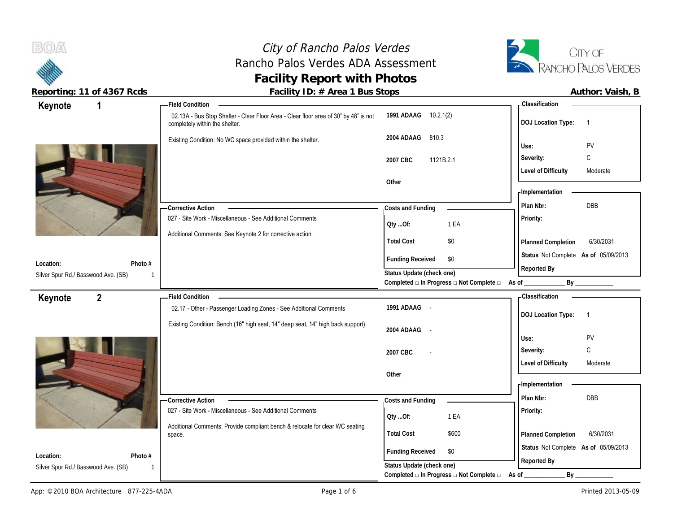$B(0)$ City of Rancho Palos Verdes CITY OF Rancho Palos Verdes ADA Assessment RANCHO PALOS VERDES **Facility Report with Photos** Reporting: 11 of 4367 Rcds **Facility ID: # Area 1 Bus Stops Facility ID: # Area 1 Bus Stops Author: Vaish, B 1 Field Condition Classification Keynote** 02.13A - Bus Stop Shelter - Clear Floor Area - Clear floor area of 30" by 48" is not **1991 ADAAG** 10.2.1(2) **DOJ Location Type:** 1 completely within the shelter. **2004 ADAAG** 810.3 Existing Condition: No WC space provided within the shelter. **Use:** PV **Severity:** C **2007 CBC** 1121B.2.1 **Level of Difficulty** Moderate **Other Implementation Costs and Funding Plan Nbr:** DBB **Corrective Action**  027 - Site Work - Miscellaneous - See Additional Comments **Priority: Qty ...Of:** 1 EA Additional Comments: See Keynote 2 for corrective action. **Total Cost** \$0 **Planned Completion** 6/30/2031 **Status** Not Complete **As of** 05/09/2013 **Funding Received \$0 Location: Photo # Reported By Status Update (check one)** Silver Spur Rd./ Basswood Ave. (SB) 1 1 Completed **□** In Progress □ Not Complete □ As of \_\_\_\_\_\_\_\_\_\_\_\_\_\_\_\_\_ By **2 Field Condition Classification Keynote** 02.17 - Other - Passenger Loading Zones - See Additional Comments **1991 ADAAG** - **DOJ Location Type:** 1 Existing Condition: Bench (16" high seat, 14" deep seat, 14" high back support). **2004 ADAAG** - **Use:** PV **Severity:** C **2007 CBC** - Level of Difficulty **Moderate Other Implementation Costs and Funding Plan Nbr:** DBB **Corrective Action**  027 - Site Work - Miscellaneous - See Additional Comments **Priority: Qty ...Of:** 1 EA Additional Comments: Provide compliant bench & relocate for clear WC seating **Total Cost** \$600 **Planned Completion** 6/30/2031 space. **Status** Not Complete **As of** 05/09/2013

1

**Funding Received \$0 Status Update (check one)**

Completed **□** In Progress □ Not Complete □ As of \_\_\_\_\_\_\_\_\_\_\_\_\_\_\_\_ By \_

**Reported By**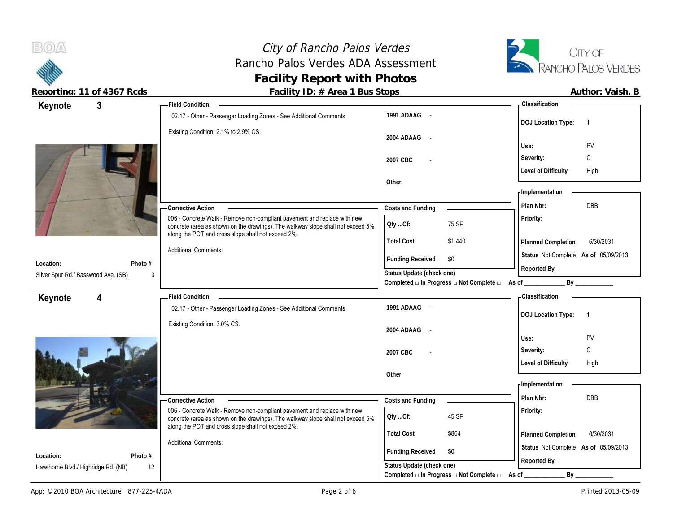# City of Rancho Palos Verdes Rancho Palos Verdes ADA Assessment **Facility Report with Photos**



 $B(0)$ 

| reporting. IT or 4007 hous                       |                              | I addity TD. $\pi$ Area T Dus Jtops<br>Field Condition -                                                                                                                                                          |                                                      |                                          | - Classification                     | AULINI. VAISII, D |
|--------------------------------------------------|------------------------------|-------------------------------------------------------------------------------------------------------------------------------------------------------------------------------------------------------------------|------------------------------------------------------|------------------------------------------|--------------------------------------|-------------------|
| $\mathbf{3}$<br>Keynote                          |                              | 02.17 - Other - Passenger Loading Zones - See Additional Comments                                                                                                                                                 | 1991 ADAAG -                                         |                                          |                                      |                   |
|                                                  |                              |                                                                                                                                                                                                                   |                                                      |                                          | <b>DOJ Location Type:</b>            | $\overline{1}$    |
|                                                  |                              | Existing Condition: 2.1% to 2.9% CS.                                                                                                                                                                              | 2004 ADAAG<br>$\sim$                                 |                                          |                                      |                   |
|                                                  |                              |                                                                                                                                                                                                                   |                                                      |                                          | Use:                                 | <b>PV</b>         |
|                                                  |                              |                                                                                                                                                                                                                   | 2007 CBC                                             |                                          | Severity:                            | C                 |
|                                                  |                              |                                                                                                                                                                                                                   |                                                      |                                          | <b>Level of Difficulty</b>           | High              |
|                                                  |                              |                                                                                                                                                                                                                   | Other                                                |                                          |                                      |                   |
|                                                  |                              |                                                                                                                                                                                                                   |                                                      |                                          | <b>Implementation</b>                |                   |
|                                                  |                              | <b>Corrective Action</b>                                                                                                                                                                                          | Costs and Funding                                    |                                          | Plan Nbr:                            | <b>DBB</b>        |
|                                                  |                              | 006 - Concrete Walk - Remove non-compliant pavement and replace with new<br>concrete (area as shown on the drawings). The walkway slope shall not exceed 5%<br>along the POT and cross slope shall not exceed 2%. | QtyOf:                                               | 75 SF                                    | Priority:                            |                   |
|                                                  |                              |                                                                                                                                                                                                                   | <b>Total Cost</b>                                    | \$1,440                                  | Planned Completion                   | 6/30/2031         |
|                                                  |                              | <b>Additional Comments:</b>                                                                                                                                                                                       | <b>Funding Received</b>                              | \$0                                      | Status Not Complete As of 05/09/2013 |                   |
| Location:<br>Silver Spur Rd./ Basswood Ave. (SB) | Photo #<br>3                 |                                                                                                                                                                                                                   | Status Update (check one)                            |                                          | Reported By                          |                   |
|                                                  |                              |                                                                                                                                                                                                                   |                                                      | Completed □ In Progress □ Not Complete □ | As of                                | By                |
| Keynote<br>4                                     |                              | <b>Field Condition</b>                                                                                                                                                                                            |                                                      |                                          | <b>Classification</b>                |                   |
|                                                  |                              | 02.17 - Other - Passenger Loading Zones - See Additional Comments                                                                                                                                                 | 1991 ADAAG -                                         |                                          |                                      |                   |
|                                                  |                              | Existing Condition: 3.0% CS.                                                                                                                                                                                      |                                                      |                                          | <b>DOJ Location Type:</b>            | $\overline{1}$    |
|                                                  |                              |                                                                                                                                                                                                                   | 2004 ADAAG -                                         |                                          | Use:                                 | PV                |
|                                                  |                              |                                                                                                                                                                                                                   |                                                      |                                          | Severity:                            | C                 |
|                                                  |                              |                                                                                                                                                                                                                   | 2007 CBC                                             |                                          | <b>Level of Difficulty</b>           | High              |
|                                                  |                              |                                                                                                                                                                                                                   | Other                                                |                                          |                                      |                   |
|                                                  |                              |                                                                                                                                                                                                                   |                                                      |                                          | - Implementation                     |                   |
|                                                  |                              |                                                                                                                                                                                                                   |                                                      |                                          |                                      |                   |
|                                                  |                              |                                                                                                                                                                                                                   |                                                      |                                          | Plan Nbr:                            | <b>DBB</b>        |
|                                                  |                              | -Corrective Action<br>006 - Concrete Walk - Remove non-compliant pavement and replace with new                                                                                                                    | Costs and Funding                                    |                                          | Priority:                            |                   |
|                                                  |                              | concrete (area as shown on the drawings). The walkway slope shall not exceed 5%                                                                                                                                   | Oty Of:                                              | 45 SF                                    |                                      |                   |
|                                                  |                              | along the POT and cross slope shall not exceed 2%.                                                                                                                                                                | <b>Total Cost</b>                                    | \$864                                    | Planned Completion                   | 6/30/2031         |
|                                                  |                              | <b>Additional Comments:</b>                                                                                                                                                                                       |                                                      |                                          | Status Not Complete As of 05/09/2013 |                   |
| Location:<br>Hawthorne Blvd./ Highridge Rd. (NB) | Photo #<br>$12 \overline{ }$ |                                                                                                                                                                                                                   | <b>Funding Received</b><br>Status Update (check one) | \$0                                      | Reported By                          |                   |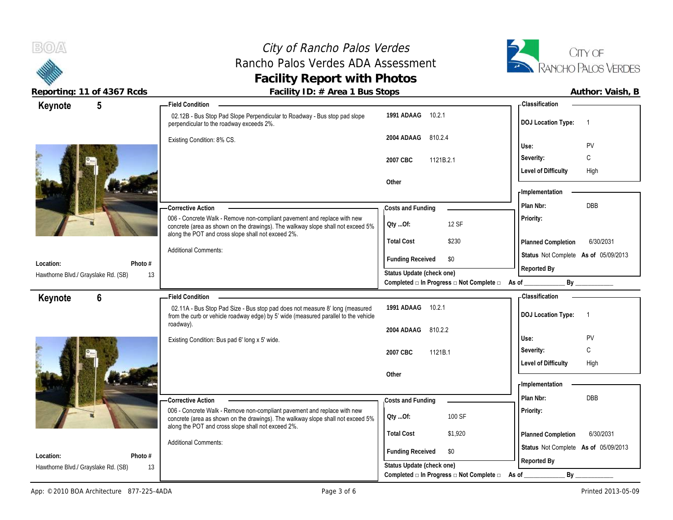$B(0)$ 

# City of Rancho Palos Verdes Rancho Palos Verdes ADA Assessment **Facility Report with Photos**



| <b>DOJ Location Type:</b><br>$\overline{1}$<br>PV<br>C<br>High<br>DBB |
|-----------------------------------------------------------------------|
|                                                                       |
|                                                                       |
|                                                                       |
|                                                                       |
|                                                                       |
|                                                                       |
|                                                                       |
|                                                                       |
|                                                                       |
| 6/30/2031<br>Planned Completion                                       |
| Status Not Complete As of 05/09/2013                                  |
|                                                                       |
|                                                                       |
|                                                                       |
|                                                                       |
| <b>DOJ Location Type:</b><br>$\overline{1}$                           |
|                                                                       |
| PV                                                                    |
| C                                                                     |
|                                                                       |
| High                                                                  |
|                                                                       |
|                                                                       |
| DBB                                                                   |
|                                                                       |
|                                                                       |
| 6/30/2031<br>Planned Completion                                       |
| Status Not Complete As of 05/09/2013                                  |
|                                                                       |
|                                                                       |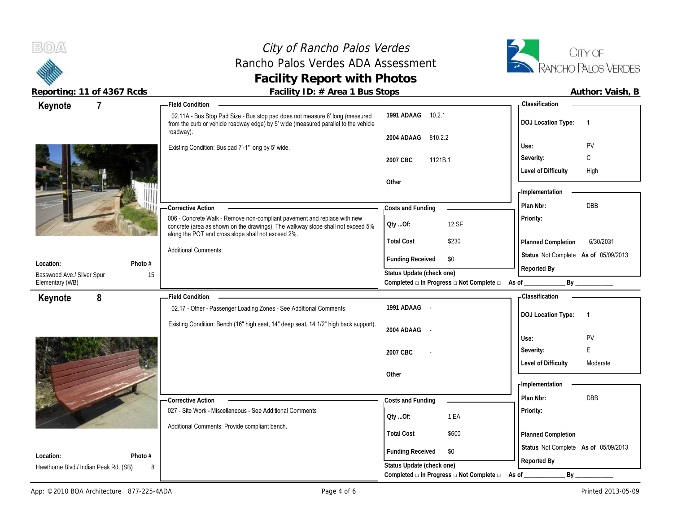$B(0)$ 

# City of Rancho Palos Verdes Rancho Palos Verdes ADA Assessment **Facility Report with Photos**



| Keynote                               | $\overline{7}$ | <b>Field Condition</b>                                                                                                                                                                                            |                                                                                      | - Classification                       |
|---------------------------------------|----------------|-------------------------------------------------------------------------------------------------------------------------------------------------------------------------------------------------------------------|--------------------------------------------------------------------------------------|----------------------------------------|
|                                       |                | 02.11A - Bus Stop Pad Size - Bus stop pad does not measure 8' long (measured<br>from the curb or vehicle roadway edge) by 5' wide (measured parallel to the vehicle                                               | 10.2.1<br>1991 ADAAG                                                                 | <b>DOJ Location Type:</b><br>-1        |
|                                       |                | roadway).                                                                                                                                                                                                         | 2004 ADAAG<br>810.2.2                                                                |                                        |
|                                       |                | Existing Condition: Bus pad 7'-1" long by 5' wide.                                                                                                                                                                |                                                                                      | PV<br>Use:                             |
|                                       |                |                                                                                                                                                                                                                   | 2007 CBC<br>1121B.1                                                                  | C<br>Severity:                         |
|                                       |                |                                                                                                                                                                                                                   |                                                                                      | <b>Level of Difficulty</b><br>High     |
|                                       |                |                                                                                                                                                                                                                   | Other                                                                                | - Implementation                       |
|                                       |                |                                                                                                                                                                                                                   |                                                                                      | DBB                                    |
|                                       |                | -Corrective Action                                                                                                                                                                                                | Costs and Funding                                                                    | Plan Nbr:                              |
|                                       |                | 006 - Concrete Walk - Remove non-compliant pavement and replace with new<br>concrete (area as shown on the drawings). The walkway slope shall not exceed 5%<br>along the POT and cross slope shall not exceed 2%. | 12 SF<br>QtyOf:                                                                      | Priority:                              |
|                                       |                |                                                                                                                                                                                                                   | <b>Total Cost</b><br>\$230                                                           | 6/30/2031<br>Planned Completion        |
| Location:                             | Photo #        | <b>Additional Comments:</b>                                                                                                                                                                                       | <b>Funding Received</b><br>\$0                                                       | Status Not Complete As of 05/09/2013   |
| Basswood Ave./ Silver Spur            |                | 15                                                                                                                                                                                                                | Status Update (check one)                                                            | Reported By                            |
| Elementary (WB)                       |                |                                                                                                                                                                                                                   | Completed $\Box$ In Progress $\Box$ Not Complete $\Box$ As of _                      | By                                     |
| Keynote                               | 8              | <b>Field Condition</b>                                                                                                                                                                                            |                                                                                      | <b>Classification</b>                  |
|                                       |                |                                                                                                                                                                                                                   |                                                                                      |                                        |
|                                       |                | 02.17 - Other - Passenger Loading Zones - See Additional Comments                                                                                                                                                 | 1991 ADAAG -                                                                         | $\overline{1}$                         |
|                                       |                | Existing Condition: Bench (16" high seat, 14" deep seat, 14 1/2" high back support).                                                                                                                              |                                                                                      | <b>DOJ Location Type:</b>              |
|                                       |                |                                                                                                                                                                                                                   | 2004 ADAAG<br>$\sim$                                                                 | Use:<br>PV                             |
|                                       |                |                                                                                                                                                                                                                   |                                                                                      | E<br>Severity:                         |
|                                       |                |                                                                                                                                                                                                                   | 2007 CBC                                                                             | <b>Level of Difficulty</b><br>Moderate |
|                                       |                |                                                                                                                                                                                                                   | Other                                                                                |                                        |
|                                       |                |                                                                                                                                                                                                                   |                                                                                      | - Implementation                       |
|                                       |                | <b>Corrective Action</b>                                                                                                                                                                                          | Costs and Funding                                                                    | Plan Nbr:<br><b>DBB</b>                |
|                                       |                | 027 - Site Work - Miscellaneous - See Additional Comments                                                                                                                                                         |                                                                                      | Priority:                              |
|                                       |                | Additional Comments: Provide compliant bench.                                                                                                                                                                     | 1 EA<br>QtyOf:                                                                       |                                        |
|                                       |                |                                                                                                                                                                                                                   | <b>Total Cost</b><br>\$600                                                           | Planned Completion                     |
| Location:                             | Photo #        |                                                                                                                                                                                                                   | <b>Funding Received</b><br>\$0                                                       | Status Not Complete As of 05/09/2013   |
| Hawthorne Blvd./ Indian Peak Rd. (SB) |                | 8                                                                                                                                                                                                                 | Status Update (check one)<br>Completed $\Box$ In Progress $\Box$ Not Complete $\Box$ | Reported By<br>By                      |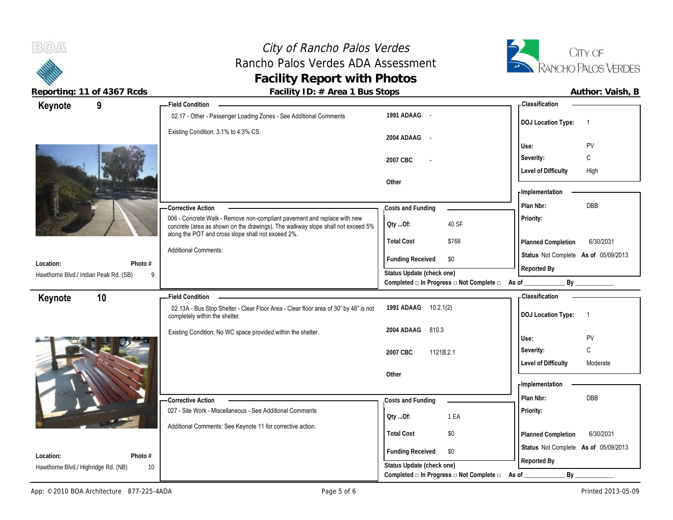# City of Rancho Palos Verdes Rancho Palos Verdes ADA Assessment **Facility Report with Photos**



 $B(0)$ 

|                                            | $190$ , $15$ , $100$                                                                                                                                                                                              |                                                         | , , a , , , o, , , , a, o, , , ь            |
|--------------------------------------------|-------------------------------------------------------------------------------------------------------------------------------------------------------------------------------------------------------------------|---------------------------------------------------------|---------------------------------------------|
| 9<br>Keynote                               | <b>Field Condition</b>                                                                                                                                                                                            |                                                         | - Classification                            |
|                                            | 02.17 - Other - Passenger Loading Zones - See Additional Comments                                                                                                                                                 | 1991 ADAAG -                                            | <b>DOJ Location Type:</b><br>$\overline{1}$ |
|                                            | Existing Condition: 3.1% to 4.3% CS.                                                                                                                                                                              | 2004 ADAAG<br>$\sim$                                    | PV<br>Use:                                  |
|                                            |                                                                                                                                                                                                                   | 2007 CBC                                                | C<br>Severity:                              |
|                                            |                                                                                                                                                                                                                   | Other                                                   | <b>Level of Difficulty</b><br>High          |
|                                            |                                                                                                                                                                                                                   |                                                         | - Implementation                            |
|                                            | <b>Corrective Action</b>                                                                                                                                                                                          | Costs and Funding                                       | DBB<br>Plan Nbr:                            |
|                                            | 006 - Concrete Walk - Remove non-compliant pavement and replace with new<br>concrete (area as shown on the drawings). The walkway slope shall not exceed 5%<br>along the POT and cross slope shall not exceed 2%. | 40 SF<br>Oty Of:                                        | Priority:                                   |
|                                            |                                                                                                                                                                                                                   | <b>Total Cost</b><br>\$768                              | 6/30/2031<br>Planned Completion             |
| Location:<br>Photo #                       | <b>Additional Comments:</b>                                                                                                                                                                                       | <b>Funding Received</b><br>\$0                          | Status Not Complete As of 05/09/2013        |
| Hawthorne Blvd./ Indian Peak Rd. (SB)<br>9 |                                                                                                                                                                                                                   | Status Update (check one)                               | Reported By                                 |
|                                            |                                                                                                                                                                                                                   | Completed □ In Progress □ Not Complete □                | By _____________<br>As of                   |
| Keynote<br>10                              | <b>Field Condition</b>                                                                                                                                                                                            |                                                         | <b>Classification</b>                       |
|                                            | 02.13A - Bus Stop Shelter - Clear Floor Area - Clear floor area of 30" by 48" is not<br>completely within the shelter.                                                                                            | 1991 ADAAG 10.2.1(2)                                    | <b>DOJ Location Type:</b><br>$\overline{1}$ |
|                                            | Existing Condition: No WC space provided within the shelter.                                                                                                                                                      | 2004 ADAAG<br>810.3                                     | PV<br>Use:                                  |
|                                            |                                                                                                                                                                                                                   | 1121B.2.1<br>2007 CBC                                   | C<br>Severity:                              |
|                                            |                                                                                                                                                                                                                   |                                                         | <b>Level of Difficulty</b><br>Moderate      |
|                                            |                                                                                                                                                                                                                   | Other                                                   |                                             |
|                                            |                                                                                                                                                                                                                   |                                                         | - Implementation                            |
|                                            | - Corrective Action                                                                                                                                                                                               | Costs and Funding                                       | Plan Nbr:<br><b>DBB</b>                     |
|                                            | 027 - Site Work - Miscellaneous - See Additional Comments                                                                                                                                                         | 1 EA<br>Qty Of:                                         | Priority:                                   |
|                                            | Additional Comments: See Keynote 11 for corrective action.                                                                                                                                                        |                                                         |                                             |
|                                            |                                                                                                                                                                                                                   | <b>Total Cost</b><br>\$0                                | 6/30/2031<br>Planned Completion             |
| Location:<br>Photo #                       |                                                                                                                                                                                                                   | <b>Funding Received</b><br>\$0                          | Status Not Complete As of 05/09/2013        |
| Hawthorne Blvd./ Highridge Rd. (NB)<br>10  |                                                                                                                                                                                                                   | Status Update (check one)                               | Reported By                                 |
|                                            |                                                                                                                                                                                                                   | Completed $\Box$ In Progress $\Box$ Not Complete $\Box$ | By<br>As of                                 |